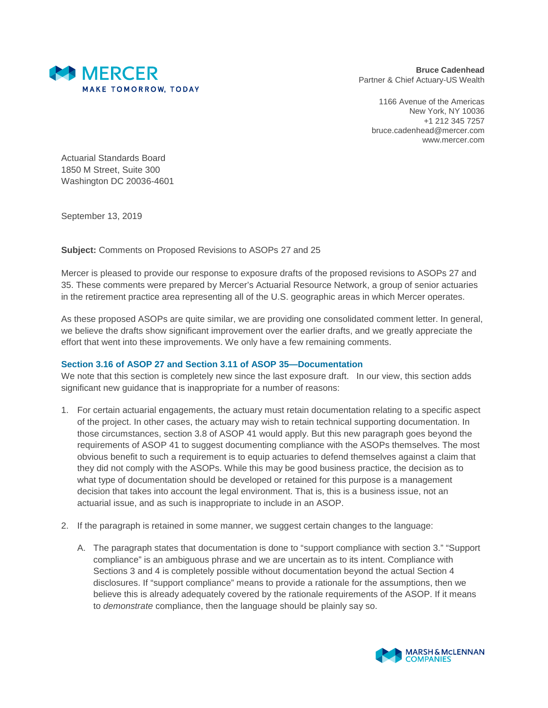

**Bruce Cadenhead** Partner & Chief Actuary-US Wealth

1166 Avenue of the Americas New York, NY 10036 +1 212 345 7257 bruce.cadenhead@mercer.com www.mercer.com

Actuarial Standards Board 1850 M Street, Suite 300 Washington DC 20036-4601

September 13, 2019

**Subject:** Comments on Proposed Revisions to ASOPs 27 and 25

Mercer is pleased to provide our response to exposure drafts of the proposed revisions to ASOPs 27 and 35. These comments were prepared by Mercer's Actuarial Resource Network, a group of senior actuaries in the retirement practice area representing all of the U.S. geographic areas in which Mercer operates.

As these proposed ASOPs are quite similar, we are providing one consolidated comment letter. In general, we believe the drafts show significant improvement over the earlier drafts, and we greatly appreciate the effort that went into these improvements. We only have a few remaining comments.

## **Section 3.16 of ASOP 27 and Section 3.11 of ASOP 35—Documentation**

We note that this section is completely new since the last exposure draft. In our view, this section adds significant new guidance that is inappropriate for a number of reasons:

- 1. For certain actuarial engagements, the actuary must retain documentation relating to a specific aspect of the project. In other cases, the actuary may wish to retain technical supporting documentation. In those circumstances, section 3.8 of ASOP 41 would apply. But this new paragraph goes beyond the requirements of ASOP 41 to suggest documenting compliance with the ASOPs themselves. The most obvious benefit to such a requirement is to equip actuaries to defend themselves against a claim that they did not comply with the ASOPs. While this may be good business practice, the decision as to what type of documentation should be developed or retained for this purpose is a management decision that takes into account the legal environment. That is, this is a business issue, not an actuarial issue, and as such is inappropriate to include in an ASOP.
- 2. If the paragraph is retained in some manner, we suggest certain changes to the language:
	- A. The paragraph states that documentation is done to "support compliance with section 3." "Support compliance" is an ambiguous phrase and we are uncertain as to its intent. Compliance with Sections 3 and 4 is completely possible without documentation beyond the actual Section 4 disclosures. If "support compliance" means to provide a rationale for the assumptions, then we believe this is already adequately covered by the rationale requirements of the ASOP. If it means to *demonstrate* compliance, then the language should be plainly say so.

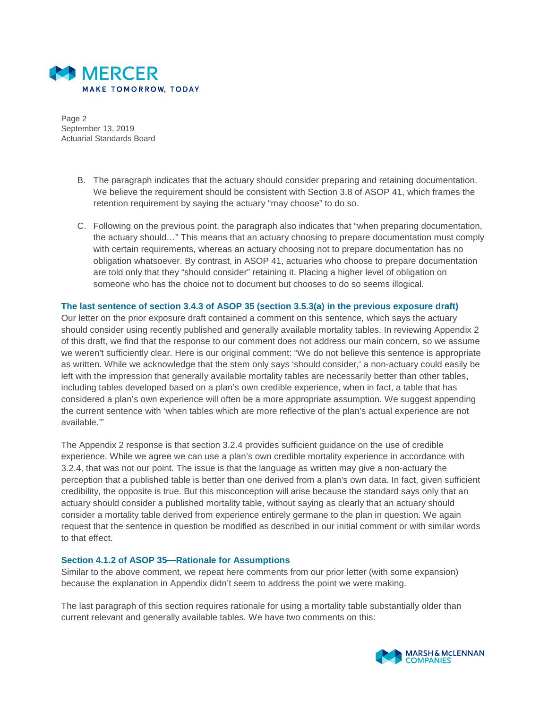

Page 2 September 13, 2019 Actuarial Standards Board

- B. The paragraph indicates that the actuary should consider preparing and retaining documentation. We believe the requirement should be consistent with Section 3.8 of ASOP 41, which frames the retention requirement by saying the actuary "may choose" to do so.
- C. Following on the previous point, the paragraph also indicates that "when preparing documentation, the actuary should…" This means that an actuary choosing to prepare documentation must comply with certain requirements, whereas an actuary choosing not to prepare documentation has no obligation whatsoever. By contrast, in ASOP 41, actuaries who choose to prepare documentation are told only that they "should consider" retaining it. Placing a higher level of obligation on someone who has the choice not to document but chooses to do so seems illogical.

## **The last sentence of section 3.4.3 of ASOP 35 (section 3.5.3(a) in the previous exposure draft)**

Our letter on the prior exposure draft contained a comment on this sentence, which says the actuary should consider using recently published and generally available mortality tables. In reviewing Appendix 2 of this draft, we find that the response to our comment does not address our main concern, so we assume we weren't sufficiently clear. Here is our original comment: "We do not believe this sentence is appropriate as written. While we acknowledge that the stem only says 'should consider,' a non-actuary could easily be left with the impression that generally available mortality tables are necessarily better than other tables, including tables developed based on a plan's own credible experience, when in fact, a table that has considered a plan's own experience will often be a more appropriate assumption. We suggest appending the current sentence with 'when tables which are more reflective of the plan's actual experience are not available.'"

The Appendix 2 response is that section 3.2.4 provides sufficient guidance on the use of credible experience. While we agree we can use a plan's own credible mortality experience in accordance with 3.2.4, that was not our point. The issue is that the language as written may give a non-actuary the perception that a published table is better than one derived from a plan's own data. In fact, given sufficient credibility, the opposite is true. But this misconception will arise because the standard says only that an actuary should consider a published mortality table, without saying as clearly that an actuary should consider a mortality table derived from experience entirely germane to the plan in question. We again request that the sentence in question be modified as described in our initial comment or with similar words to that effect.

## **Section 4.1.2 of ASOP 35—Rationale for Assumptions**

Similar to the above comment, we repeat here comments from our prior letter (with some expansion) because the explanation in Appendix didn't seem to address the point we were making.

The last paragraph of this section requires rationale for using a mortality table substantially older than current relevant and generally available tables. We have two comments on this: